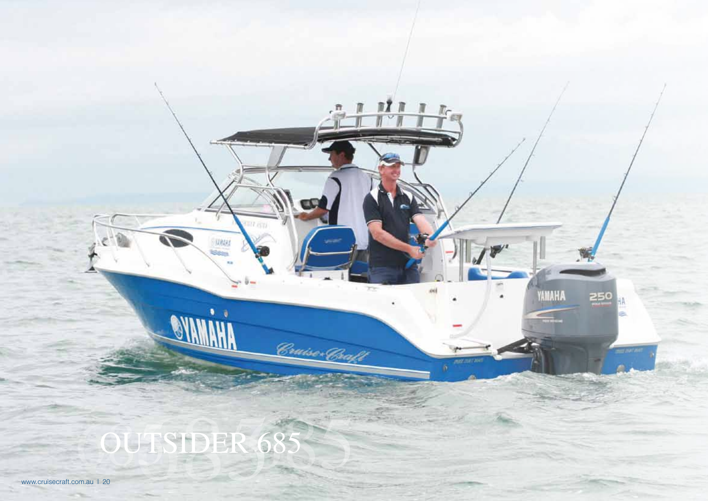